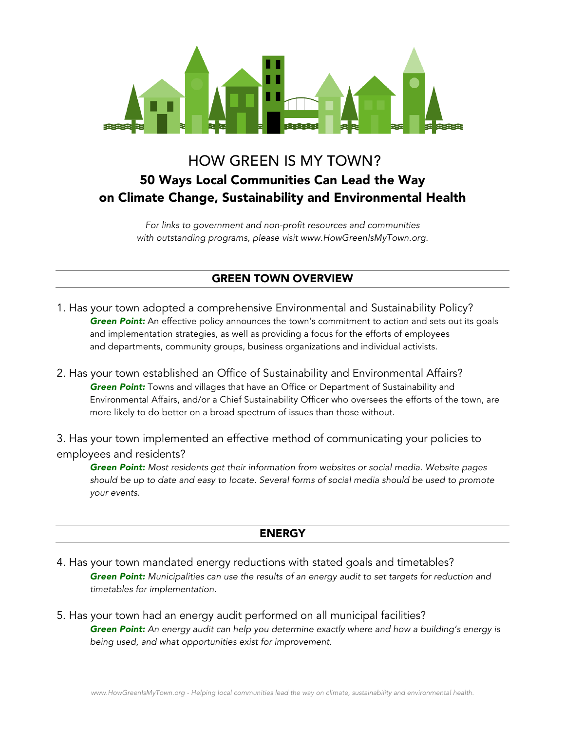

# HOW GREEN IS MY TOWN? 50 Ways Local Communities Can Lead the Way on Climate Change, Sustainability and Environmental Health

*For links to government and non-profit resources and communities with outstanding programs, please visit www.HowGreenIsMyTown.org.*

## GREEN TOWN OVERVIEW

- 1. Has your town adopted a comprehensive Environmental and Sustainability Policy? *Green Point:* An effective policy announces the town's commitment to action and sets out its goals and implementation strategies, as well as providing a focus for the efforts of employees and departments, community groups, business organizations and individual activists.
- 2. Has your town established an Office of Sustainability and Environmental Affairs? *Green Point:* Towns and villages that have an Office or Department of Sustainability and Environmental Affairs, and/or a Chief Sustainability Officer who oversees the efforts of the town, are more likely to do better on a broad spectrum of issues than those without.

3. Has your town implemented an effective method of communicating your policies to employees and residents?

*Green Point: Most residents get their information from websites or social media. Website pages should be up to date and easy to locate. Several forms of social media should be used to promote your events.*

### ENERGY

- 4. Has your town mandated energy reductions with stated goals and timetables? *Green Point: Municipalities can use the results of an energy audit to set targets for reduction and timetables for implementation.*
- 5. Has your town had an energy audit performed on all municipal facilities? *Green Point: An energy audit can help you determine exactly where and how a building's energy is being used, and what opportunities exist for improvement.*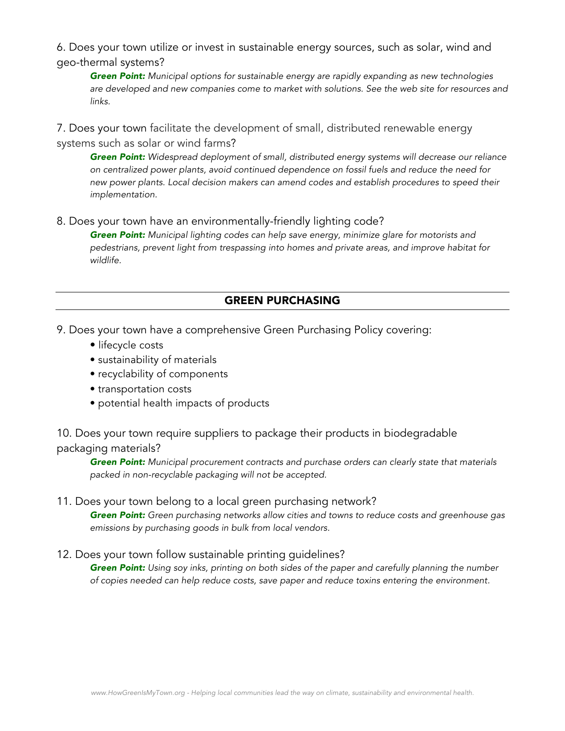6. Does your town utilize or invest in sustainable energy sources, such as solar, wind and geo-thermal systems?

*Green Point: Municipal options for sustainable energy are rapidly expanding as new technologies are developed and new companies come to market with solutions. See the web site for resources and links.*

7. Does your town facilitate the development of small, distributed renewable energy systems such as solar or wind farms?

*Green Point: Widespread deployment of small, distributed energy systems will decrease our reliance on centralized power plants, avoid continued dependence on fossil fuels and reduce the need for new power plants. Local decision makers can amend codes and establish procedures to speed their implementation.* 

8. Does your town have an environmentally-friendly lighting code?

*Green Point: Municipal lighting codes can help save energy, minimize glare for motorists and pedestrians, prevent light from trespassing into homes and private areas, and improve habitat for wildlife.*

## GREEN PURCHASING

9. Does your town have a comprehensive Green Purchasing Policy covering:

- lifecycle costs
- sustainability of materials
- recyclability of components
- transportation costs
- potential health impacts of products

## 10. Does your town require suppliers to package their products in biodegradable packaging materials?

*Green Point: Municipal procurement contracts and purchase orders can clearly state that materials packed in non-recyclable packaging will not be accepted.* 

### 11. Does your town belong to a local green purchasing network?

*Green Point: Green purchasing networks allow cities and towns to reduce costs and greenhouse gas emissions by purchasing goods in bulk from local vendors.*

### 12. Does your town follow sustainable printing guidelines?

*Green Point: Using soy inks, printing on both sides of the paper and carefully planning the number of copies needed can help reduce costs, save paper and reduce toxins entering the environment.*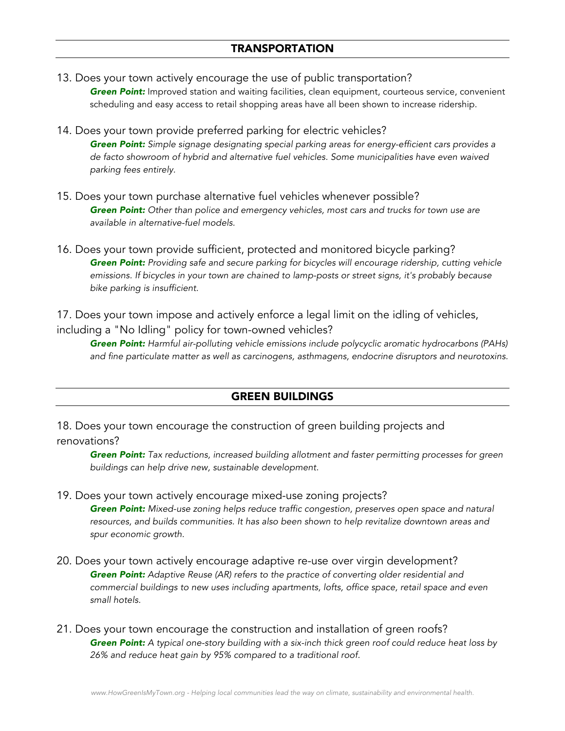- 13. Does your town actively encourage the use of public transportation? **Green Point:** Improved station and waiting facilities, clean equipment, courteous service, convenient scheduling and easy access to retail shopping areas have all been shown to increase ridership.
- 14. Does your town provide preferred parking for electric vehicles? *Green Point: Simple signage designating special parking areas for energy-efficient cars provides a de facto showroom of hybrid and alternative fuel vehicles. Some municipalities have even waived parking fees entirely.*
- 15. Does your town purchase alternative fuel vehicles whenever possible? *Green Point: Other than police and emergency vehicles, most cars and trucks for town use are available in alternative-fuel models.*
- 16. Does your town provide sufficient, protected and monitored bicycle parking? *Green Point: Providing safe and secure parking for bicycles will encourage ridership, cutting vehicle emissions. If bicycles in your town are chained to lamp-posts or street signs, it's probably because bike parking is insufficient.*

17. Does your town impose and actively enforce a legal limit on the idling of vehicles, including a "No Idling" policy for town-owned vehicles?

*Green Point: Harmful air-polluting vehicle emissions include polycyclic aromatic hydrocarbons (PAHs) and fine particulate matter as well as carcinogens, asthmagens, endocrine disruptors and neurotoxins.*

# GREEN BUILDINGS

18. Does your town encourage the construction of green building projects and renovations?

*Green Point: Tax reductions, increased building allotment and faster permitting processes for green buildings can help drive new, sustainable development.*

# 19. Does your town actively encourage mixed-use zoning projects?

*Green Point: Mixed-use zoning helps reduce traffic congestion, preserves open space and natural resources, and builds communities. It has also been shown to help revitalize downtown areas and spur economic growth.*

- 20. Does your town actively encourage adaptive re-use over virgin development? *Green Point: Adaptive Reuse (AR) refers to the practice of converting older residential and commercial buildings to new uses including apartments, lofts, office space, retail space and even small hotels.*
- 21. Does your town encourage the construction and installation of green roofs? *Green Point: A typical one-story building with a six-inch thick green roof could reduce heat loss by 26% and reduce heat gain by 95% compared to a traditional roof.*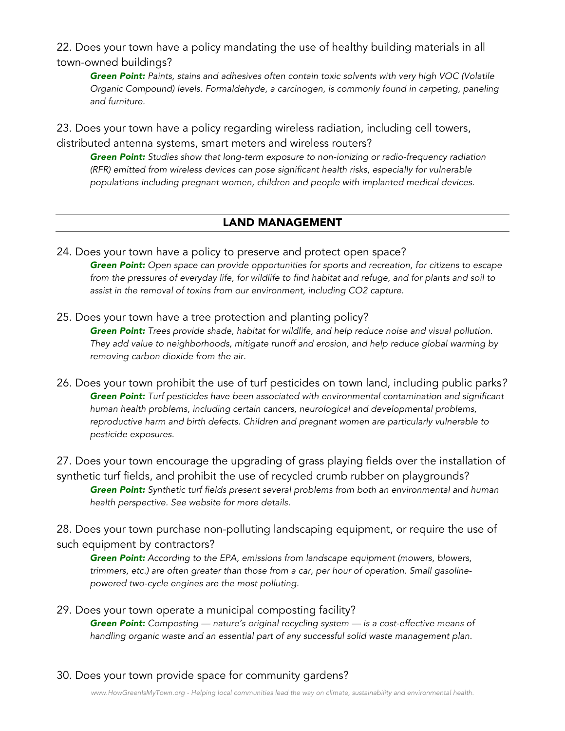22. Does your town have a policy mandating the use of healthy building materials in all town-owned buildings?

*Green Point: Paints, stains and adhesives often contain toxic solvents with very high VOC (Volatile Organic Compound) levels. Formaldehyde, a carcinogen, is commonly found in carpeting, paneling and furniture.* 

23. Does your town have a policy regarding wireless radiation, including cell towers, distributed antenna systems, smart meters and wireless routers?

*Green Point: Studies show that long-term exposure to non-ionizing or radio-frequency radiation (RFR) emitted from wireless devices can pose significant health risks, especially for vulnerable populations including pregnant women, children and people with implanted medical devices.* 

### LAND MANAGEMENT

24. Does your town have a policy to preserve and protect open space? *Green Point: Open space can provide opportunities for sports and recreation, for citizens to escape from the pressures of everyday life, for wildlife to find habitat and refuge, and for plants and soil to assist in the removal of toxins from our environment, including CO2 capture.*

25. Does your town have a tree protection and planting policy? *Green Point: Trees provide shade, habitat for wildlife, and help reduce noise and visual pollution. They add value to neighborhoods, mitigate runoff and erosion, and help reduce global warming by removing carbon dioxide from the air.*

26. Does your town prohibit the use of turf pesticides on town land, including public parks*? Green Point: Turf pesticides have been associated with environmental contamination and significant human health problems, including certain cancers, neurological and developmental problems, reproductive harm and birth defects. Children and pregnant women are particularly vulnerable to pesticide exposures.*

27. Does your town encourage the upgrading of grass playing fields over the installation of synthetic turf fields, and prohibit the use of recycled crumb rubber on playgrounds? *Green Point: Synthetic turf fields present several problems from both an environmental and human health perspective. See website for more details.* 

28. Does your town purchase non-polluting landscaping equipment, or require the use of such equipment by contractors?

*Green Point: According to the EPA, emissions from landscape equipment (mowers, blowers, trimmers, etc.) are often greater than those from a car, per hour of operation. Small gasolinepowered two-cycle engines are the most polluting.*

- 29. Does your town operate a municipal composting facility? *Green Point: Composting — nature's original recycling system — is a cost-effective means of handling organic waste and an essential part of any successful solid waste management plan.*
- 30. Does your town provide space for community gardens?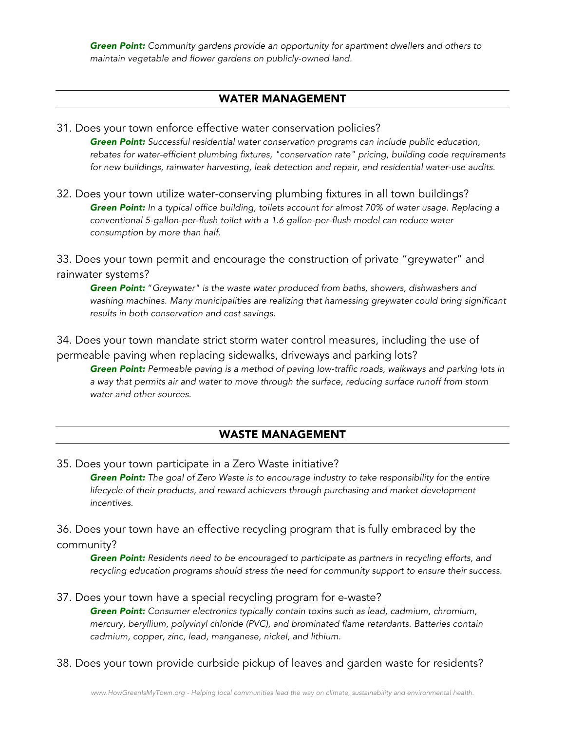*Green Point: Community gardens provide an opportunity for apartment dwellers and others to maintain vegetable and flower gardens on publicly-owned land.*

### WATER MANAGEMENT

#### 31. Does your town enforce effective water conservation policies?

*Green Point: Successful residential water conservation programs can include public education, rebates for water-efficient plumbing fixtures, "conservation rate" pricing, building code requirements for new buildings, rainwater harvesting, leak detection and repair, and residential water-use audits.*

32. Does your town utilize water-conserving plumbing fixtures in all town buildings? *Green Point: In a typical office building, toilets account for almost 70% of water usage. Replacing a conventional 5-gallon-per-flush toilet with a 1.6 gallon-per-flush model can reduce water consumption by more than half.*

33. Does your town permit and encourage the construction of private "greywater" and rainwater systems?

*Green Point:* "*Greywater" is the waste water produced from baths, showers, dishwashers and*  washing machines. Many municipalities are realizing that harnessing greywater could bring significant *results in both conservation and cost savings.*

34. Does your town mandate strict storm water control measures, including the use of permeable paving when replacing sidewalks, driveways and parking lots?

*Green Point: Permeable paving is a method of paving low-traffic roads, walkways and parking lots in a way that permits air and water to move through the surface, reducing surface runoff from storm water and other sources.*

### WASTE MANAGEMENT

35. Does your town participate in a Zero Waste initiative?

*Green Point: The goal of Zero Waste is to encourage industry to take responsibility for the entire*  lifecycle of their products, and reward achievers through purchasing and market development *incentives.*

36. Does your town have an effective recycling program that is fully embraced by the community?

*Green Point: Residents need to be encouraged to participate as partners in recycling efforts, and recycling education programs should stress the need for community support to ensure their success.*

#### 37. Does your town have a special recycling program for e-waste?

*Green Point: Consumer electronics typically contain toxins such as lead, cadmium, chromium, mercury, beryllium, polyvinyl chloride (PVC), and brominated flame retardants. Batteries contain cadmium, copper, zinc, lead, manganese, nickel, and lithium.*

38. Does your town provide curbside pickup of leaves and garden waste for residents?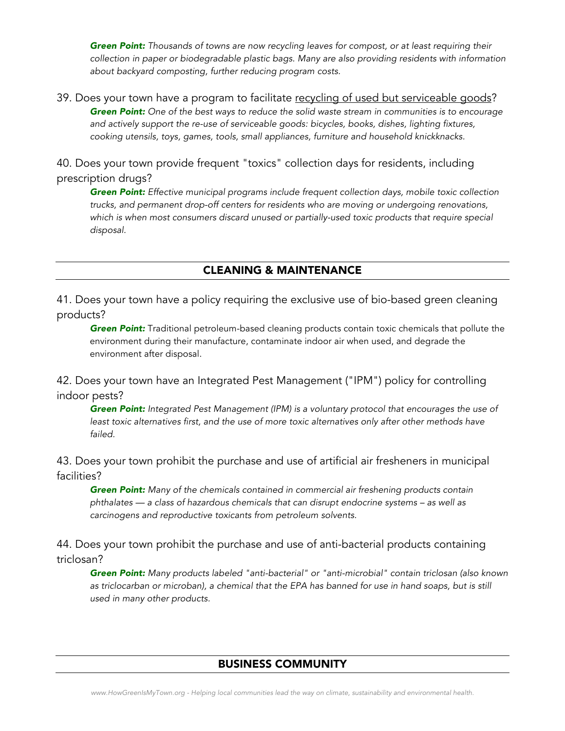*Green Point: Thousands of towns are now recycling leaves for compost, or at least requiring their collection in paper or biodegradable plastic bags. Many are also providing residents with information about backyard composting, further reducing program costs.*

39. Does your town have a program to facilitate recycling of used but serviceable goods? *Green Point: One of the best ways to reduce the solid waste stream in communities is to encourage and actively support the re-use of serviceable goods: bicycles, books, dishes, lighting fixtures, cooking utensils, toys, games, tools, small appliances, furniture and household knickknacks.*

40. Does your town provide frequent "toxics" collection days for residents, including prescription drugs?

*Green Point: Effective municipal programs include frequent collection days, mobile toxic collection trucks, and permanent drop-off centers for residents who are moving or undergoing renovations,*  which is when most consumers discard unused or partially-used toxic products that require special *disposal.*

### CLEANING & MAINTENANCE

41. Does your town have a policy requiring the exclusive use of bio-based green cleaning products?

*Green Point:* Traditional petroleum-based cleaning products contain toxic chemicals that pollute the environment during their manufacture, contaminate indoor air when used, and degrade the environment after disposal.

42. Does your town have an Integrated Pest Management ("IPM") policy for controlling indoor pests?

*Green Point: Integrated Pest Management (IPM) is a voluntary protocol that encourages the use of*  least toxic alternatives first, and the use of more toxic alternatives only after other methods have *failed.* 

43. Does your town prohibit the purchase and use of artificial air fresheners in municipal facilities?

*Green Point: Many of the chemicals contained in commercial air freshening products contain phthalates — a class of hazardous chemicals that can disrupt endocrine systems – as well as carcinogens and reproductive toxicants from petroleum solvents.*

44. Does your town prohibit the purchase and use of anti-bacterial products containing triclosan?

*Green Point: Many products labeled "anti-bacterial" or "anti-microbial" contain triclosan (also known*  as triclocarban or microban), a chemical that the EPA has banned for use in hand soaps, but is still *used in many other products.*

#### BUSINESS COMMUNITY